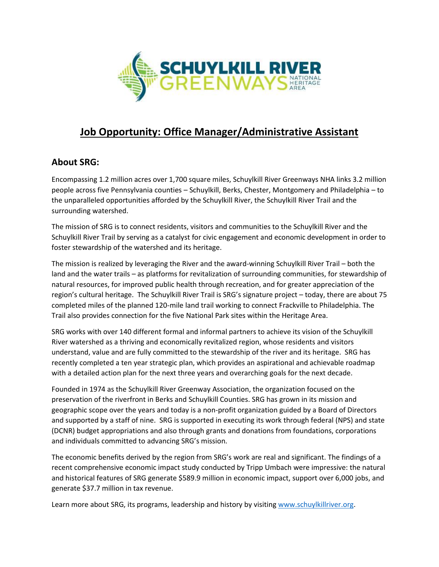

# **Job Opportunity: Office Manager/Administrative Assistant**

## **About SRG:**

Encompassing 1.2 million acres over 1,700 square miles, Schuylkill River Greenways NHA links 3.2 million people across five Pennsylvania counties – Schuylkill, Berks, Chester, Montgomery and Philadelphia – to the unparalleled opportunities afforded by the Schuylkill River, the Schuylkill River Trail and the surrounding watershed.

The mission of SRG is to connect residents, visitors and communities to the Schuylkill River and the Schuylkill River Trail by serving as a catalyst for civic engagement and economic development in order to foster stewardship of the watershed and its heritage.

The mission is realized by leveraging the River and the award-winning Schuylkill River Trail – both the land and the water trails – as platforms for revitalization of surrounding communities, for stewardship of natural resources, for improved public health through recreation, and for greater appreciation of the region's cultural heritage. The Schuylkill River Trail is SRG's signature project – today, there are about 75 completed miles of the planned 120-mile land trail working to connect Frackville to Philadelphia. The Trail also provides connection for the five National Park sites within the Heritage Area.

SRG works with over 140 different formal and informal partners to achieve its vision of the Schuylkill River watershed as a thriving and economically revitalized region, whose residents and visitors understand, value and are fully committed to the stewardship of the river and its heritage. SRG has recently completed a ten year strategic plan, which provides an aspirational and achievable roadmap with a detailed action plan for the next three years and overarching goals for the next decade.

Founded in 1974 as the Schuylkill River Greenway Association, the organization focused on the preservation of the riverfront in Berks and Schuylkill Counties. SRG has grown in its mission and geographic scope over the years and today is a non-profit organization guided by a Board of Directors and supported by a staff of nine. SRG is supported in executing its work through federal (NPS) and state (DCNR) budget appropriations and also through grants and donations from foundations, corporations and individuals committed to advancing SRG's mission.

The economic benefits derived by the region from SRG's work are real and significant. The findings of a recent comprehensive economic impact study conducted by Tripp Umbach were impressive: the natural and historical features of SRG generate \$589.9 million in economic impact, support over 6,000 jobs, and generate \$37.7 million in tax revenue.

Learn more about SRG, its programs, leadership and history by visiting [www.schuylkillriver.org.](http://www.schuylkillriver.org/)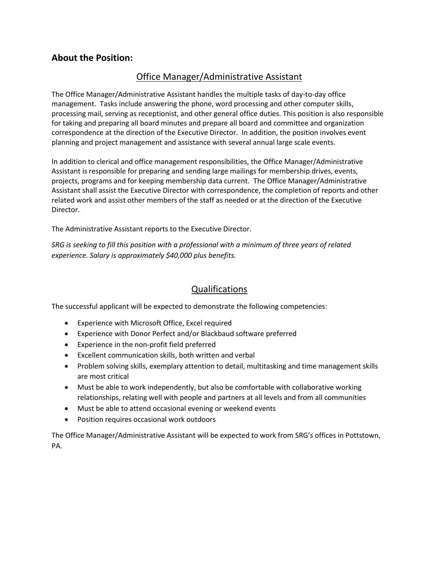### **About the Position:**

### Office Manager/Administrative Assistant

The Office Manager/Administrative Assistant handles the multiple tasks of day-to-day office management. Tasks include answering the phone, word processing and other computer skills, processing mail, serving as receptionist, and other general office duties. This position is also responsible for taking and preparing all board minutes and prepare all board and committee and organization correspondence at the direction of the Executive Director. In addition, the position involves event planning and project management and assistance with several annual large scale events.

In addition to clerical and office management responsibilities, the Office Manager/Administrative Assistant is responsible for preparing and sending large mailings for membership drives, events, projects, programs and for keeping membership data current. The Office Manager/Administrative Assistant shall assist the Executive Director with correspondence, the completion of reports and other related work and assist other members of the staff as needed or at the direction of the Executive Director.

The Administrative Assistant reports to the Executive Director.

*SRG is seeking to fill this position with a professional with a minimum of three years of related experience. Salary is approximately \$40,000 plus benefits.*

### Qualifications

The successful applicant will be expected to demonstrate the following competencies:

- Experience with Microsoft Office, Excel required
- Experience with Donor Perfect and/or Blackbaud software preferred
- Experience in the non-profit field preferred
- Excellent communication skills, both written and verbal
- Problem solving skills, exemplary attention to detail, multitasking and time management skills are most critical
- Must be able to work independently, but also be comfortable with collaborative working relationships, relating well with people and partners at all levels and from all communities
- Must be able to attend occasional evening or weekend events
- Position requires occasional work outdoors

The Office Manager/Administrative Assistant will be expected to work from SRG's offices in Pottstown, PA.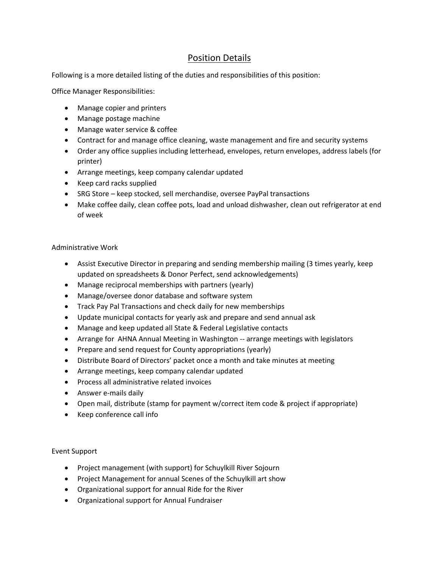### Position Details

Following is a more detailed listing of the duties and responsibilities of this position:

Office Manager Responsibilities:

- Manage copier and printers
- Manage postage machine
- Manage water service & coffee
- Contract for and manage office cleaning, waste management and fire and security systems
- Order any office supplies including letterhead, envelopes, return envelopes, address labels (for printer)
- Arrange meetings, keep company calendar updated
- Keep card racks supplied
- SRG Store keep stocked, sell merchandise, oversee PayPal transactions
- Make coffee daily, clean coffee pots, load and unload dishwasher, clean out refrigerator at end of week

#### Administrative Work

- Assist Executive Director in preparing and sending membership mailing (3 times yearly, keep updated on spreadsheets & Donor Perfect, send acknowledgements)
- Manage reciprocal memberships with partners (yearly)
- Manage/oversee donor database and software system
- Track Pay Pal Transactions and check daily for new memberships
- Update municipal contacts for yearly ask and prepare and send annual ask
- Manage and keep updated all State & Federal Legislative contacts
- Arrange for AHNA Annual Meeting in Washington -- arrange meetings with legislators
- Prepare and send request for County appropriations (yearly)
- Distribute Board of Directors' packet once a month and take minutes at meeting
- Arrange meetings, keep company calendar updated
- Process all administrative related invoices
- Answer e-mails daily
- Open mail, distribute (stamp for payment w/correct item code & project if appropriate)
- Keep conference call info

#### Event Support

- Project management (with support) for Schuylkill River Sojourn
- Project Management for annual Scenes of the Schuylkill art show
- Organizational support for annual Ride for the River
- Organizational support for Annual Fundraiser